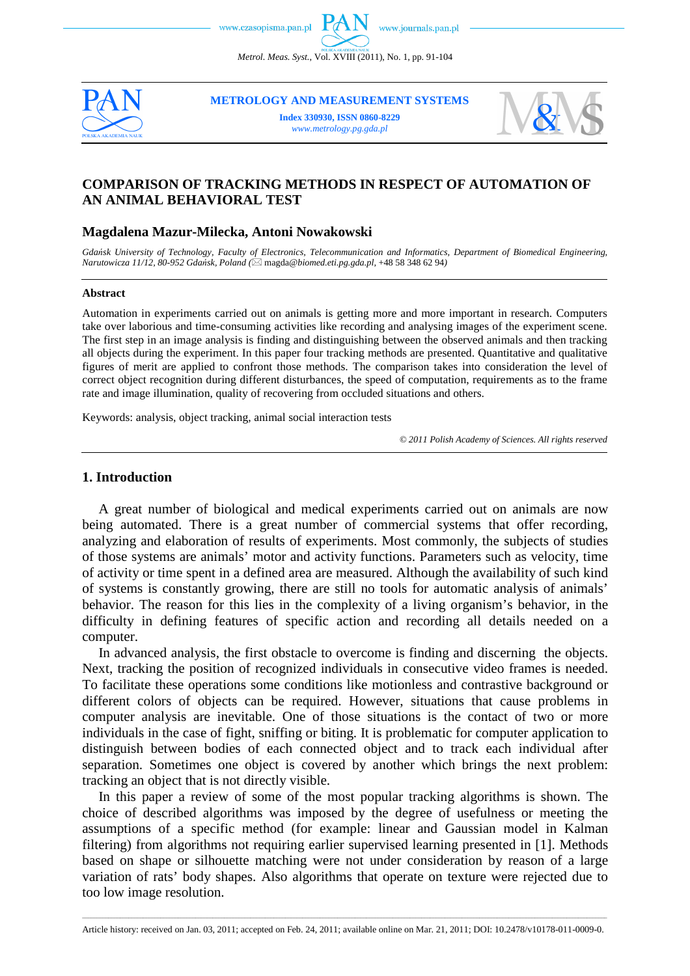



**METROLOGY AND MEASUREMENT SYSTEMS** 

**Index 330930, ISSN 0860-8229**  *www.metrology.pg.gda.pl*



# **COMPARISON OF TRACKING METHODS IN RESPECT OF AUTOMATION OF AN ANIMAL BEHAVIORAL TEST**

### **Magdalena Mazur-Milecka, Antoni Nowakowski**

*Gdańsk University of Technology, Faculty of Electronics, Telecommunication and Informatics, Department of Biomedical Engineering, Narutowicza 11/12, 80-952 Gdańsk, Poland (* magda*@biomed.eti.pg.gda.pl,* +48 58 348 62 94*)* 

#### **Abstract**

Automation in experiments carried out on animals is getting more and more important in research. Computers take over laborious and time-consuming activities like recording and analysing images of the experiment scene. The first step in an image analysis is finding and distinguishing between the observed animals and then tracking all objects during the experiment. In this paper four tracking methods are presented. Quantitative and qualitative figures of merit are applied to confront those methods. The comparison takes into consideration the level of correct object recognition during different disturbances, the speed of computation, requirements as to the frame rate and image illumination, quality of recovering from occluded situations and others.

Keywords: analysis, object tracking, animal social interaction tests

*© 2011 Polish Academy of Sciences. All rights reserved*

### **1. Introduction**

A great number of biological and medical experiments carried out on animals are now being automated. There is a great number of commercial systems that offer recording, analyzing and elaboration of results of experiments. Most commonly, the subjects of studies of those systems are animals' motor and activity functions. Parameters such as velocity, time of activity or time spent in a defined area are measured. Although the availability of such kind of systems is constantly growing, there are still no tools for automatic analysis of animals' behavior. The reason for this lies in the complexity of a living organism's behavior, in the difficulty in defining features of specific action and recording all details needed on a computer.

In advanced analysis, the first obstacle to overcome is finding and discerning the objects. Next, tracking the position of recognized individuals in consecutive video frames is needed. To facilitate these operations some conditions like motionless and contrastive background or different colors of objects can be required. However, situations that cause problems in computer analysis are inevitable. One of those situations is the contact of two or more individuals in the case of fight, sniffing or biting. It is problematic for computer application to distinguish between bodies of each connected object and to track each individual after separation. Sometimes one object is covered by another which brings the next problem: tracking an object that is not directly visible.

In this paper a review of some of the most popular tracking algorithms is shown. The choice of described algorithms was imposed by the degree of usefulness or meeting the assumptions of a specific method (for example: linear and Gaussian model in Kalman filtering) from algorithms not requiring earlier supervised learning presented in [1]. Methods based on shape or silhouette matching were not under consideration by reason of a large variation of rats' body shapes. Also algorithms that operate on texture were rejected due to too low image resolution.

\_\_\_\_\_\_\_\_\_\_\_\_\_\_\_\_\_\_\_\_\_\_\_\_\_\_\_\_\_\_\_\_\_\_\_\_\_\_\_\_\_\_\_\_\_\_\_\_\_\_\_\_\_\_\_\_\_\_\_\_\_\_\_\_\_\_\_\_\_\_\_\_\_\_\_\_\_\_\_\_\_\_\_\_\_\_\_\_\_\_\_\_\_\_\_\_\_\_\_\_\_\_\_\_\_\_\_\_\_\_\_\_\_\_\_\_\_\_\_\_\_\_\_\_\_\_\_\_\_\_\_\_\_\_\_\_\_\_\_\_\_\_\_\_\_\_\_\_\_\_\_\_\_\_\_\_\_\_\_\_\_\_\_\_\_\_\_\_\_\_\_\_\_\_\_\_\_\_\_\_\_ Article history: received on Jan. 03, 2011; accepted on Feb. 24, 2011; available online on Mar. 21, 2011; DOI: 10.2478/v10178-011-0009-0.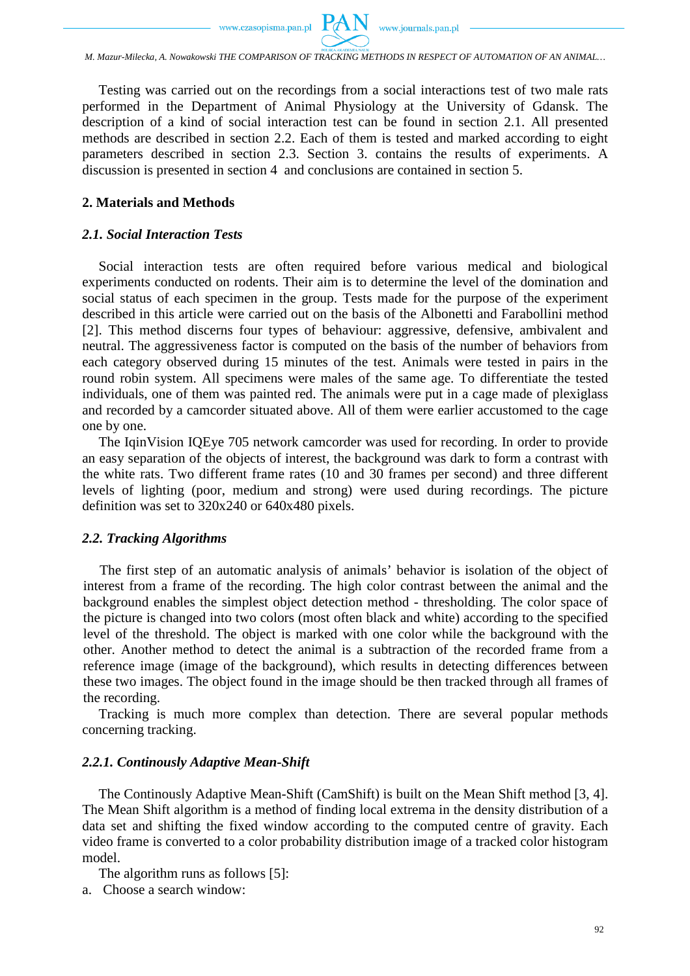www.czasonisma.nan.nl



*M. Mazur-Milecka, A. Nowakowski THE COMPARISON OF TRACKING METHODS IN RESPECT OF AUTOMATION OF AN ANIMAL…*

Testing was carried out on the recordings from a social interactions test of two male rats performed in the Department of Animal Physiology at the University of Gdansk. The description of a kind of social interaction test can be found in section 2.1. All presented methods are described in section 2.2. Each of them is tested and marked according to eight parameters described in section 2.3. Section 3. contains the results of experiments. A discussion is presented in section 4 and conclusions are contained in section 5.

# **2. Materials and Methods**

### *2.1. Social Interaction Tests*

Social interaction tests are often required before various medical and biological experiments conducted on rodents. Their aim is to determine the level of the domination and social status of each specimen in the group. Tests made for the purpose of the experiment described in this article were carried out on the basis of the Albonetti and Farabollini method [2]. This method discerns four types of behaviour: aggressive, defensive, ambivalent and neutral. The aggressiveness factor is computed on the basis of the number of behaviors from each category observed during 15 minutes of the test. Animals were tested in pairs in the round robin system. All specimens were males of the same age. To differentiate the tested individuals, one of them was painted red. The animals were put in a cage made of plexiglass and recorded by a camcorder situated above. All of them were earlier accustomed to the cage one by one.

The IqinVision IQEye 705 network camcorder was used for recording. In order to provide an easy separation of the objects of interest, the background was dark to form a contrast with the white rats. Two different frame rates (10 and 30 frames per second) and three different levels of lighting (poor, medium and strong) were used during recordings. The picture definition was set to 320x240 or 640x480 pixels.

#### *2.2. Tracking Algorithms*

The first step of an automatic analysis of animals' behavior is isolation of the object of interest from a frame of the recording. The high color contrast between the animal and the background enables the simplest object detection method - thresholding. The color space of the picture is changed into two colors (most often black and white) according to the specified level of the threshold. The object is marked with one color while the background with the other. Another method to detect the animal is a subtraction of the recorded frame from a reference image (image of the background), which results in detecting differences between these two images. The object found in the image should be then tracked through all frames of the recording.

Tracking is much more complex than detection. There are several popular methods concerning tracking.

# *2.2.1. Continously Adaptive Mean-Shift*

The Continously Adaptive Mean-Shift (CamShift) is built on the Mean Shift method [3, 4]. The Mean Shift algorithm is a method of finding local extrema in the density distribution of a data set and shifting the fixed window according to the computed centre of gravity. Each video frame is converted to a color probability distribution image of a tracked color histogram model.

The algorithm runs as follows [5]: a. Choose a search window: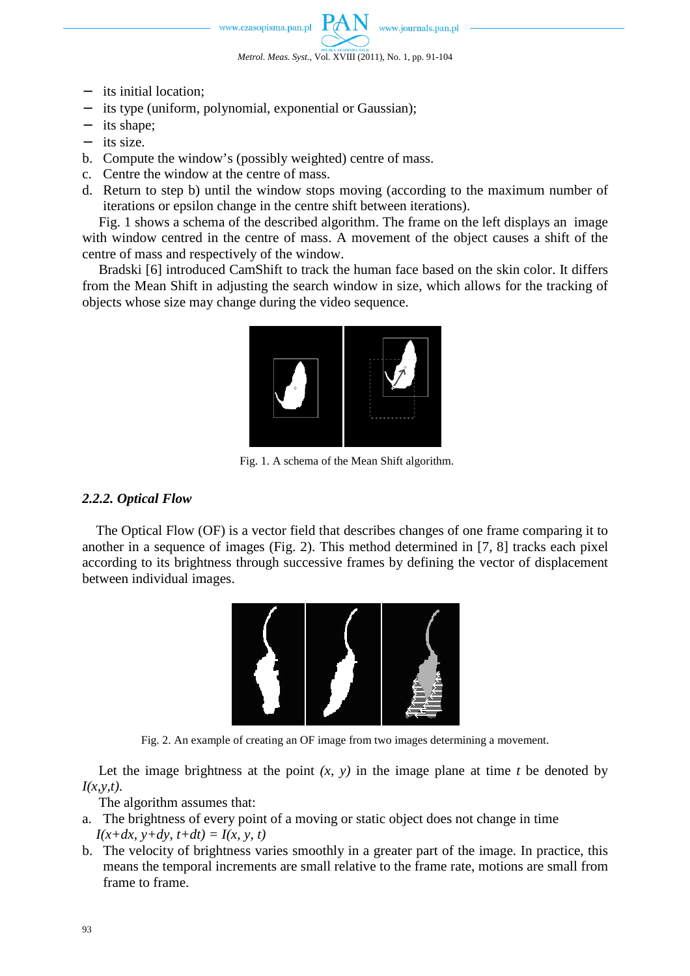- − its initial location;
- its type (uniform, polynomial, exponential or Gaussian);
- its shape:
- − its size.
- b. Compute the window's (possibly weighted) centre of mass.
- c. Centre the window at the centre of mass.
- d. Return to step b) until the window stops moving (according to the maximum number of iterations or epsilon change in the centre shift between iterations).

Fig. 1 shows a schema of the described algorithm. The frame on the left displays an image with window centred in the centre of mass. A movement of the object causes a shift of the centre of mass and respectively of the window.

Bradski [6] introduced CamShift to track the human face based on the skin color. It differs from the Mean Shift in adjusting the search window in size, which allows for the tracking of objects whose size may change during the video sequence.



Fig. 1. A schema of the Mean Shift algorithm.

## *2.2.2. Optical Flow*

The Optical Flow (OF) is a vector field that describes changes of one frame comparing it to another in a sequence of images (Fig. 2). This method determined in [7, 8] tracks each pixel according to its brightness through successive frames by defining the vector of displacement between individual images.



Fig. 2. An example of creating an OF image from two images determining a movement.

Let the image brightness at the point  $(x, y)$  in the image plane at time  $t$  be denoted by *I(x,y,t)*.

The algorithm assumes that:

- a. The brightness of every point of a moving or static object does not change in time  $I(x+dx, y+dy, t+dt) = I(x, y, t)$
- b. The velocity of brightness varies smoothly in a greater part of the image. In practice, this means the temporal increments are small relative to the frame rate, motions are small from frame to frame.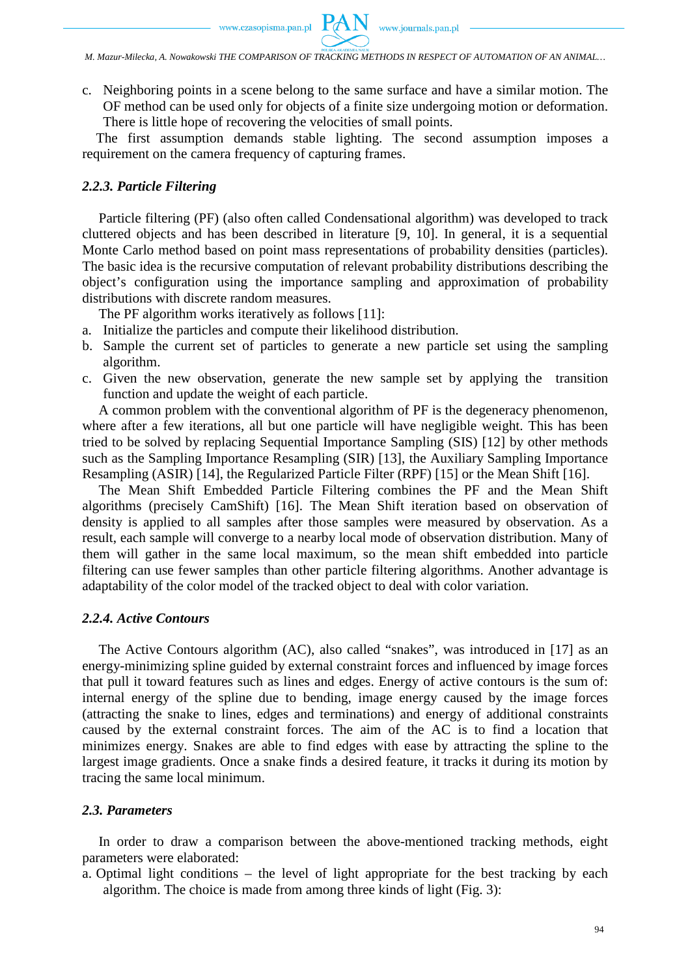*M. Mazur-Milecka, A. Nowakowski THE COMPARISON OF TRACKING METHODS IN RESPECT OF AUTOMATION OF AN ANIMAL…*

c. Neighboring points in a scene belong to the same surface and have a similar motion. The OF method can be used only for objects of a finite size undergoing motion or deformation. There is little hope of recovering the velocities of small points.

The first assumption demands stable lighting. The second assumption imposes a requirement on the camera frequency of capturing frames.

# *2.2.3. Particle Filtering*

Particle filtering (PF) (also often called Condensational algorithm) was developed to track cluttered objects and has been described in literature [9, 10]. In general, it is a sequential Monte Carlo method based on point mass representations of probability densities (particles). The basic idea is the recursive computation of relevant probability distributions describing the object's configuration using the importance sampling and approximation of probability distributions with discrete random measures.

The PF algorithm works iteratively as follows [11]:

- a. Initialize the particles and compute their likelihood distribution.
- b. Sample the current set of particles to generate a new particle set using the sampling algorithm.
- c. Given the new observation, generate the new sample set by applying the transition function and update the weight of each particle.

A common problem with the conventional algorithm of PF is the degeneracy phenomenon, where after a few iterations, all but one particle will have negligible weight. This has been tried to be solved by replacing Sequential Importance Sampling (SIS) [12] by other methods such as the Sampling Importance Resampling (SIR) [13], the Auxiliary Sampling Importance Resampling (ASIR) [14], the Regularized Particle Filter (RPF) [15] or the Mean Shift [16].

The Mean Shift Embedded Particle Filtering combines the PF and the Mean Shift algorithms (precisely CamShift) [16]. The Mean Shift iteration based on observation of density is applied to all samples after those samples were measured by observation. As a result, each sample will converge to a nearby local mode of observation distribution. Many of them will gather in the same local maximum, so the mean shift embedded into particle filtering can use fewer samples than other particle filtering algorithms. Another advantage is adaptability of the color model of the tracked object to deal with color variation.

# *2.2.4. Active Contours*

The Active Contours algorithm (AC), also called "snakes", was introduced in [17] as an energy-minimizing spline guided by external constraint forces and influenced by image forces that pull it toward features such as lines and edges. Energy of active contours is the sum of: internal energy of the spline due to bending, image energy caused by the image forces (attracting the snake to lines, edges and terminations) and energy of additional constraints caused by the external constraint forces. The aim of the AC is to find a location that minimizes energy. Snakes are able to find edges with ease by attracting the spline to the largest image gradients. Once a snake finds a desired feature, it tracks it during its motion by tracing the same local minimum.

# *2.3. Parameters*

In order to draw a comparison between the above-mentioned tracking methods, eight parameters were elaborated:

a. Optimal light conditions – the level of light appropriate for the best tracking by each algorithm. The choice is made from among three kinds of light (Fig. 3):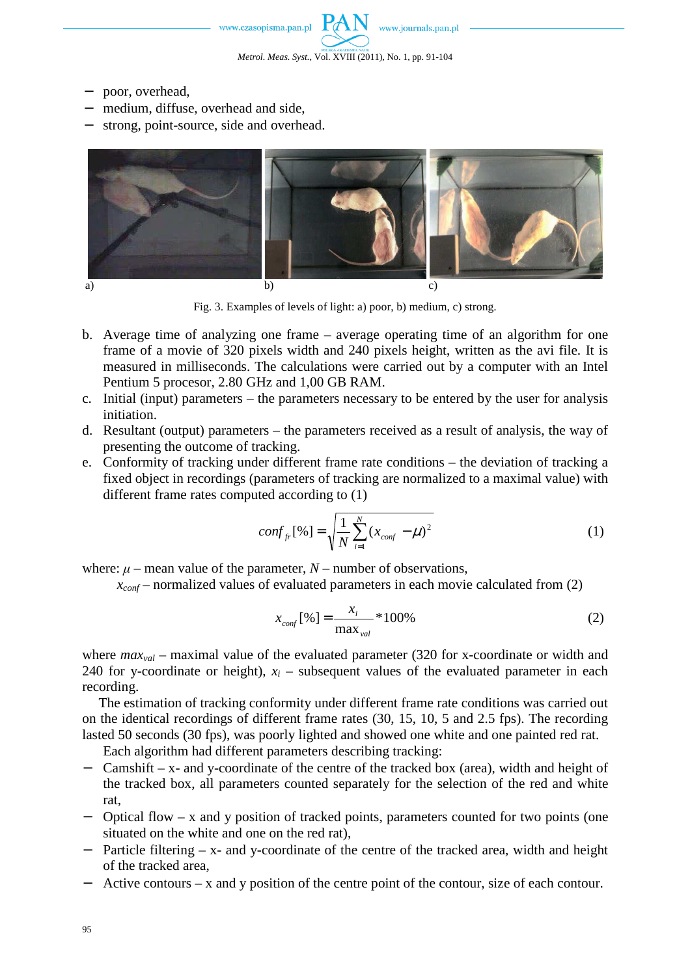- − poor, overhead,
- − medium, diffuse, overhead and side,
- strong, point-source, side and overhead.



Fig. 3. Examples of levels of light: a) poor, b) medium, c) strong.

- b. Average time of analyzing one frame average operating time of an algorithm for one frame of a movie of 320 pixels width and 240 pixels height, written as the avi file. It is measured in milliseconds. The calculations were carried out by a computer with an Intel Pentium 5 procesor, 2.80 GHz and 1,00 GB RAM.
- c. Initial (input) parameters the parameters necessary to be entered by the user for analysis initiation.
- d. Resultant (output) parameters the parameters received as a result of analysis, the way of presenting the outcome of tracking.
- e. Conformity of tracking under different frame rate conditions the deviation of tracking a fixed object in recordings (parameters of tracking are normalized to a maximal value) with different frame rates computed according to (1)

$$
conf_{fr}[%] = \sqrt{\frac{1}{N} \sum_{i=1}^{N} (x_{conf} - \mu)^2}
$$
 (1)

where:  $\mu$  – mean value of the parameter,  $N$  – number of observations,

 $x_{conf}$  – normalized values of evaluated parameters in each movie calculated from (2)

$$
x_{conf} [\%] = \frac{x_i}{\max_{val}} * 100\%
$$
 (2)

where  $max_{val}$  – maximal value of the evaluated parameter (320 for x-coordinate or width and 240 for y-coordinate or height),  $x_i$  – subsequent values of the evaluated parameter in each recording.

The estimation of tracking conformity under different frame rate conditions was carried out on the identical recordings of different frame rates (30, 15, 10, 5 and 2.5 fps). The recording lasted 50 seconds (30 fps), was poorly lighted and showed one white and one painted red rat.

Each algorithm had different parameters describing tracking:

- Camshift x- and y-coordinate of the centre of the tracked box (area), width and height of the tracked box, all parameters counted separately for the selection of the red and white rat,
- − Optical flow x and y position of tracked points, parameters counted for two points (one situated on the white and one on the red rat),
- − Particle filtering x- and y-coordinate of the centre of the tracked area, width and height of the tracked area,
- Active contours x and y position of the centre point of the contour, size of each contour.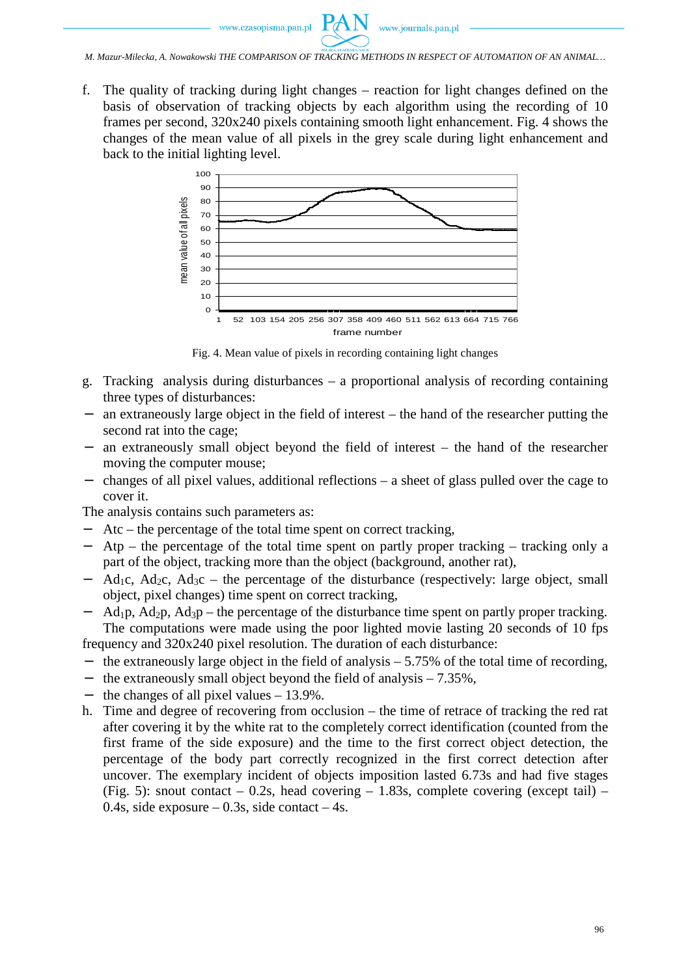*M. Mazur-Milecka, A. Nowakowski THE COMPARISON OF TRACKING METHODS IN RESPECT OF AUTOMATION OF AN ANIMAL…*

f. The quality of tracking during light changes – reaction for light changes defined on the basis of observation of tracking objects by each algorithm using the recording of 10 frames per second, 320x240 pixels containing smooth light enhancement. Fig. 4 shows the changes of the mean value of all pixels in the grey scale during light enhancement and back to the initial lighting level.



Fig. 4. Mean value of pixels in recording containing light changes

- g. Tracking analysis during disturbances a proportional analysis of recording containing three types of disturbances:
- an extraneously large object in the field of interest the hand of the researcher putting the second rat into the cage;
- an extraneously small object beyond the field of interest the hand of the researcher moving the computer mouse;
- − changes of all pixel values, additional reflections a sheet of glass pulled over the cage to cover it.

The analysis contains such parameters as:

- $Act the percentage of the total time spent on correct tracking,$
- $Atp$  the percentage of the total time spent on partly proper tracking tracking only a part of the object, tracking more than the object (background, another rat),
- $Ad_1c$ ,  $Ad_2c$ ,  $Ad_3c$  the percentage of the disturbance (respectively: large object, small object, pixel changes) time spent on correct tracking,
- $Ad_1p$ ,  $Ad_2p$ ,  $Ad_3p$  the percentage of the disturbance time spent on partly proper tracking. The computations were made using the poor lighted movie lasting 20 seconds of 10 fps frequency and 320x240 pixel resolution. The duration of each disturbance:
- − the extraneously large object in the field of analysis 5.75% of the total time of recording,
- − the extraneously small object beyond the field of analysis 7.35%,
- − the changes of all pixel values 13.9%.
- h. Time and degree of recovering from occlusion the time of retrace of tracking the red rat after covering it by the white rat to the completely correct identification (counted from the first frame of the side exposure) and the time to the first correct object detection, the percentage of the body part correctly recognized in the first correct detection after uncover. The exemplary incident of objects imposition lasted 6.73s and had five stages (Fig. 5): snout contact  $-0.2$ s, head covering  $-1.83$ s, complete covering (except tail)  $-$ 0.4s, side exposure  $-$  0.3s, side contact  $-$  4s.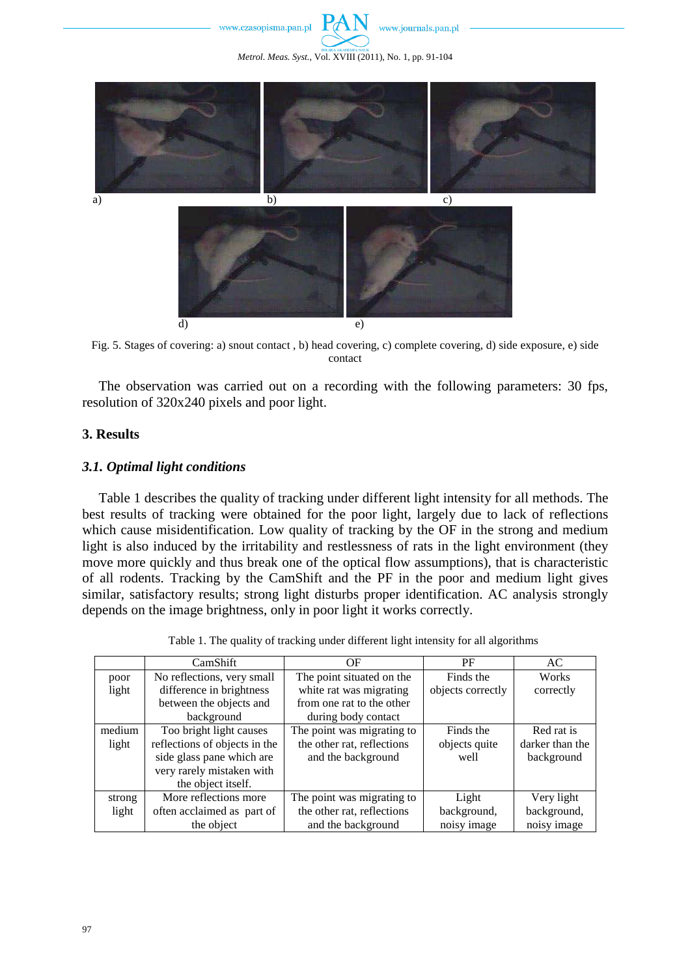

*Metrol. Meas. Syst.*, Vol. XVIII (2011), No. 1, pp. 91-104



Fig. 5. Stages of covering: a) snout contact , b) head covering, c) complete covering, d) side exposure, e) side contact

The observation was carried out on a recording with the following parameters: 30 fps, resolution of 320x240 pixels and poor light.

# **3. Results**

#### *3.1. Optimal light conditions*

Table 1 describes the quality of tracking under different light intensity for all methods. The best results of tracking were obtained for the poor light, largely due to lack of reflections which cause misidentification. Low quality of tracking by the OF in the strong and medium light is also induced by the irritability and restlessness of rats in the light environment (they move more quickly and thus break one of the optical flow assumptions), that is characteristic of all rodents. Tracking by the CamShift and the PF in the poor and medium light gives similar, satisfactory results; strong light disturbs proper identification. AC analysis strongly depends on the image brightness, only in poor light it works correctly.

|        | CamShift                      | ΟF                         | PF                | AC.             |
|--------|-------------------------------|----------------------------|-------------------|-----------------|
| poor   | No reflections, very small    | The point situated on the  | Finds the         | Works           |
| light  | difference in brightness      | white rat was migrating    | objects correctly | correctly       |
|        | between the objects and       | from one rat to the other  |                   |                 |
|        | background                    | during body contact        |                   |                 |
| medium | Too bright light causes       | The point was migrating to | Finds the         | Red rat is      |
| light  | reflections of objects in the | the other rat, reflections | objects quite     | darker than the |
|        | side glass pane which are     | and the background         | well              | background      |
|        | very rarely mistaken with     |                            |                   |                 |
|        | the object itself.            |                            |                   |                 |
| strong | More reflections more         | The point was migrating to | Light             | Very light      |
| light  | often acclaimed as part of    | the other rat, reflections | background,       | background,     |
|        | the object                    | and the background         | noisy image       | noisy image     |

Table 1. The quality of tracking under different light intensity for all algorithms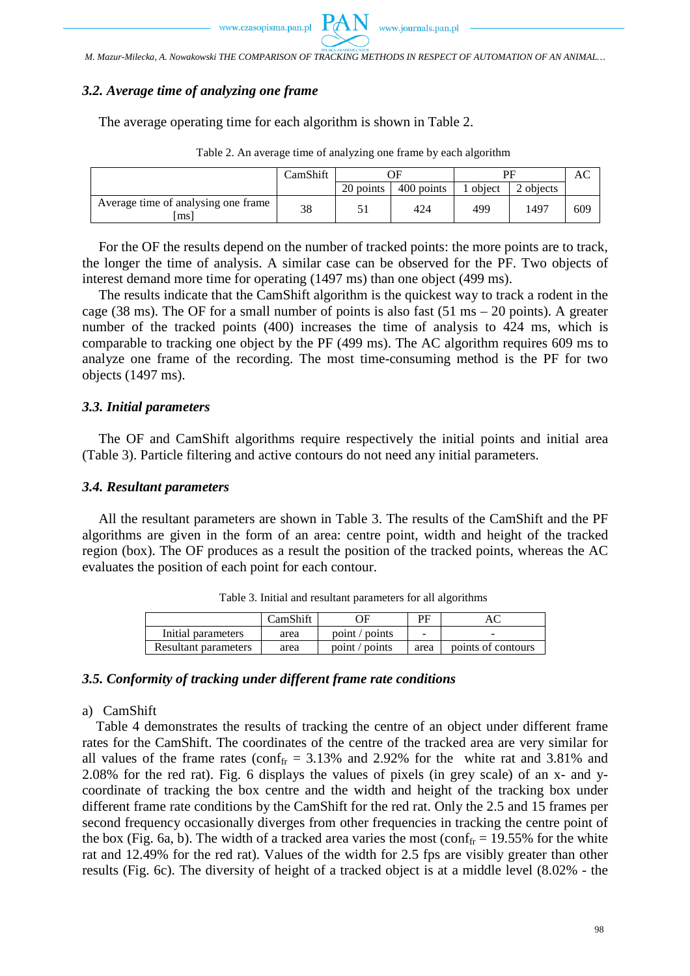*M. Mazur-Milecka, A. Nowakowski THE COMPARISON OF TRACKING METHODS IN RESPECT OF AUTOMATION OF AN ANIMAL…*

# *3.2. Average time of analyzing one frame*

The average operating time for each algorithm is shown in Table 2.

|                                           | CamShift |           |            | РF     |           | AU  |
|-------------------------------------------|----------|-----------|------------|--------|-----------|-----|
|                                           |          | 20 points | 400 points | object | 2 objects |     |
| Average time of analysing one frame<br>ms | 38       |           | 424        | 499    | 1497      | 609 |

Table 2. An average time of analyzing one frame by each algorithm

For the OF the results depend on the number of tracked points: the more points are to track, the longer the time of analysis. A similar case can be observed for the PF. Two objects of interest demand more time for operating (1497 ms) than one object (499 ms).

The results indicate that the CamShift algorithm is the quickest way to track a rodent in the cage (38 ms). The OF for a small number of points is also fast (51 ms  $-$  20 points). A greater number of the tracked points (400) increases the time of analysis to 424 ms, which is comparable to tracking one object by the PF (499 ms). The AC algorithm requires 609 ms to analyze one frame of the recording. The most time-consuming method is the PF for two objects (1497 ms).

# *3.3. Initial parameters*

The OF and CamShift algorithms require respectively the initial points and initial area (Table 3). Particle filtering and active contours do not need any initial parameters.

# *3.4. Resultant parameters*

All the resultant parameters are shown in Table 3. The results of the CamShift and the PF algorithms are given in the form of an area: centre point, width and height of the tracked region (box). The OF produces as a result the position of the tracked points, whereas the AC evaluates the position of each point for each contour.

|                      | CamShift |                | РF   |                    |
|----------------------|----------|----------------|------|--------------------|
| Initial parameters   | area     | point / points | -    |                    |
| Resultant parameters | area     | point / points | area | points of contours |

Table 3. Initial and resultant parameters for all algorithms

## *3.5. Conformity of tracking under different frame rate conditions*

## a) CamShift

Table 4 demonstrates the results of tracking the centre of an object under different frame rates for the CamShift. The coordinates of the centre of the tracked area are very similar for all values of the frame rates (conf $f_{\text{fr}} = 3.13\%$  and 2.92% for the white rat and 3.81% and 2.08% for the red rat). Fig. 6 displays the values of pixels (in grey scale) of an x- and ycoordinate of tracking the box centre and the width and height of the tracking box under different frame rate conditions by the CamShift for the red rat. Only the 2.5 and 15 frames per second frequency occasionally diverges from other frequencies in tracking the centre point of the box (Fig. 6a, b). The width of a tracked area varies the most (conf $f<sub>fr</sub> = 19.55\%$  for the white rat and 12.49% for the red rat). Values of the width for 2.5 fps are visibly greater than other results (Fig. 6c). The diversity of height of a tracked object is at a middle level (8.02% - the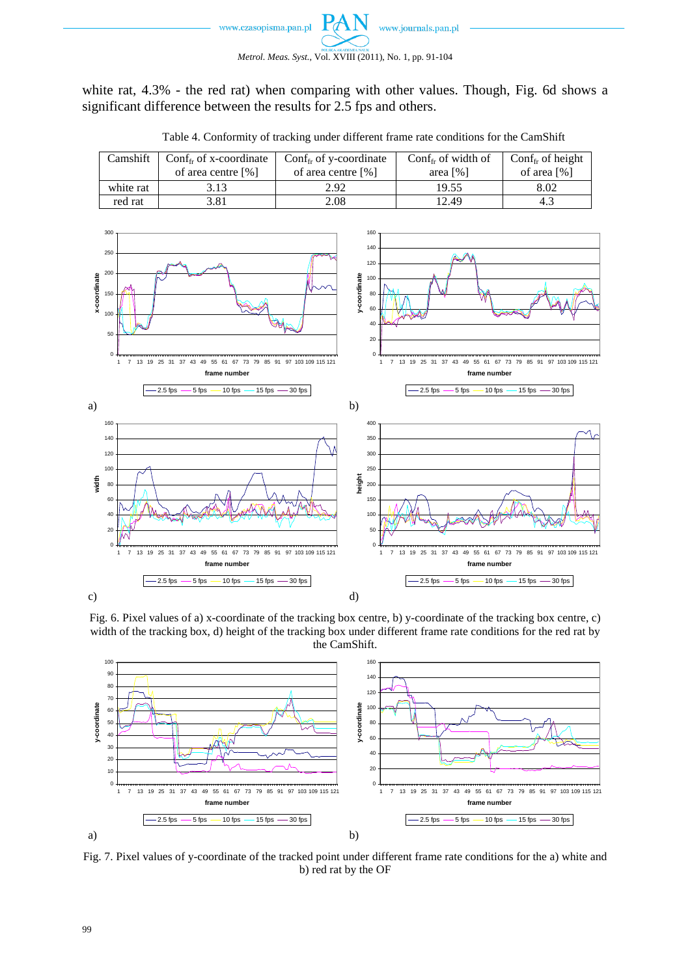white rat, 4.3% - the red rat) when comparing with other values. Though, Fig. 6d shows a significant difference between the results for 2.5 fps and others.

| Camshift  | $\text{Conf}_{\text{fr}}$ of x-coordinate | Conf $_{fr}$ of y-coordinate | $\text{Conf}_{\text{fr}}$ of width of | $\text{Conf}_{\text{fr}}$ of height |
|-----------|-------------------------------------------|------------------------------|---------------------------------------|-------------------------------------|
|           | of area centre [%]                        | of area centre [%]           | area $\lceil\% \rceil$                | of area [%]                         |
| white rat | 3.13                                      | 2.92                         | 19.55                                 | 8.02                                |
| red rat   | 3.81                                      | 2.08                         | 12.49                                 | 4.3                                 |

Table 4. Conformity of tracking under different frame rate conditions for the CamShift



Fig. 6. Pixel values of a) x-coordinate of the tracking box centre, b) y-coordinate of the tracking box centre, c) width of the tracking box, d) height of the tracking box under different frame rate conditions for the red rat by the CamShift.



Fig. 7. Pixel values of y-coordinate of the tracked point under different frame rate conditions for the a) white and b) red rat by the OF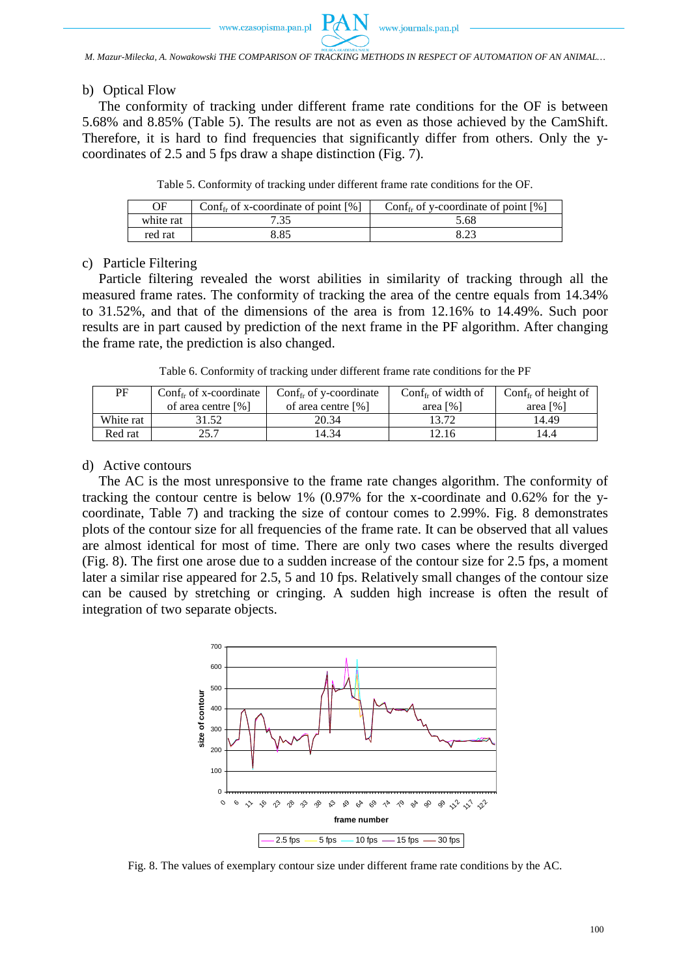

*M. Mazur-Milecka, A. Nowakowski THE COMPARISON OF TRACKING METHODS IN RESPECT OF AUTOMATION OF AN ANIMAL…*

#### b) Optical Flow

The conformity of tracking under different frame rate conditions for the OF is between 5.68% and 8.85% (Table 5). The results are not as even as those achieved by the CamShift. Therefore, it is hard to find frequencies that significantly differ from others. Only the ycoordinates of 2.5 and 5 fps draw a shape distinction (Fig. 7).

| OF        | Conf <sub>fr</sub> of x-coordinate of point [%] | Conf <sub>fr</sub> of y-coordinate of point [%] |
|-----------|-------------------------------------------------|-------------------------------------------------|
| white rat | 7.35                                            | 5.68                                            |
| red rat   | 8.85                                            |                                                 |

Table 5. Conformity of tracking under different frame rate conditions for the OF.

#### c) Particle Filtering

Particle filtering revealed the worst abilities in similarity of tracking through all the measured frame rates. The conformity of tracking the area of the centre equals from 14.34% to 31.52%, and that of the dimensions of the area is from 12.16% to 14.49%. Such poor results are in part caused by prediction of the next frame in the PF algorithm. After changing the frame rate, the prediction is also changed.

Table 6. Conformity of tracking under different frame rate conditions for the PF

| PF        | Conf <sub>fr</sub> of x-coordinate | Conf $_{\rm fr}$ of y-coordinate | $\text{Conf}_{\text{fr}}$ of width of | Conf $_{\rm fr}$ of height of |
|-----------|------------------------------------|----------------------------------|---------------------------------------|-------------------------------|
|           | of area centre [%]                 | of area centre [%]               | area $\lceil\% \rceil$                | area $\lceil \% \rceil$       |
| White rat | 31.52                              | 20.34                            | 13.72                                 | 14.49                         |
| Red rat   | 25.7                               | 14.34                            | 12.16                                 | 14.4                          |

# d) Active contours

The AC is the most unresponsive to the frame rate changes algorithm. The conformity of tracking the contour centre is below 1% (0.97% for the x-coordinate and 0.62% for the ycoordinate, Table 7) and tracking the size of contour comes to 2.99%. Fig. 8 demonstrates plots of the contour size for all frequencies of the frame rate. It can be observed that all values are almost identical for most of time. There are only two cases where the results diverged (Fig. 8). The first one arose due to a sudden increase of the contour size for 2.5 fps, a moment later a similar rise appeared for 2.5, 5 and 10 fps. Relatively small changes of the contour size can be caused by stretching or cringing. A sudden high increase is often the result of integration of two separate objects.



Fig. 8. The values of exemplary contour size under different frame rate conditions by the AC.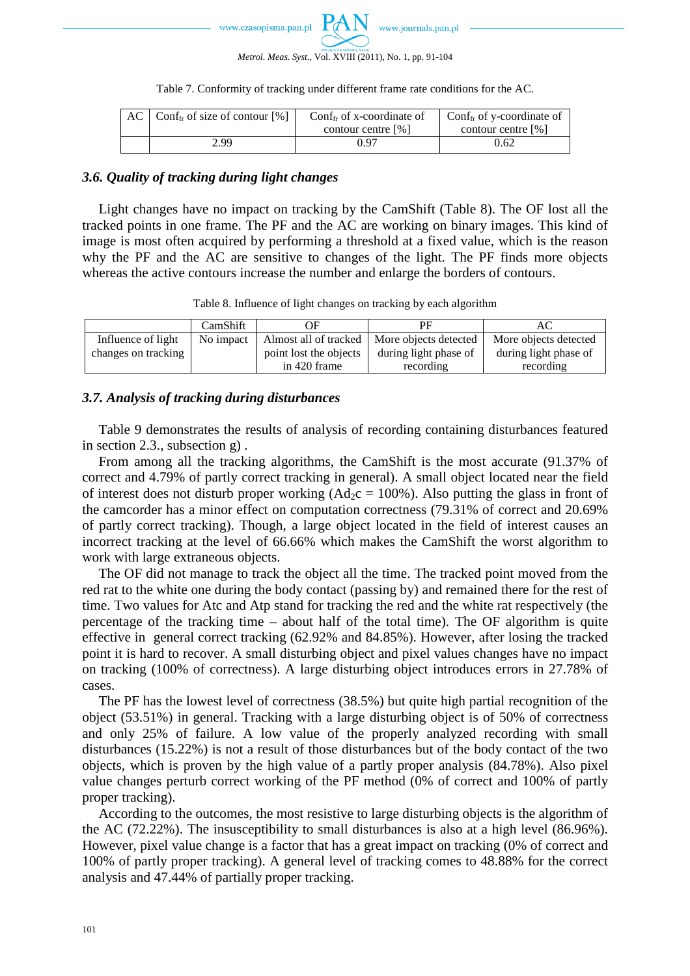

*Metrol. Meas. Syst.*, Vol. XVIII (2011), No. 1, pp. 91-104

Table 7. Conformity of tracking under different frame rate conditions for the AC.

|  | AC $\vert$ Conf <sub>fr</sub> of size of contour $\vert\% \vert$ | $\text{Conf}_{\text{fr}}$ of x-coordinate of | Conf <sub>fr</sub> of y-coordinate of |
|--|------------------------------------------------------------------|----------------------------------------------|---------------------------------------|
|  |                                                                  | contour centre $[%]$                         | contour centre [%]                    |
|  | 2.99                                                             | 0.97                                         | 0.62                                  |

# *3.6. Quality of tracking during light changes*

Light changes have no impact on tracking by the CamShift (Table 8). The OF lost all the tracked points in one frame. The PF and the AC are working on binary images. This kind of image is most often acquired by performing a threshold at a fixed value, which is the reason why the PF and the AC are sensitive to changes of the light. The PF finds more objects whereas the active contours increase the number and enlarge the borders of contours.

Table 8. Influence of light changes on tracking by each algorithm

|                     | CamShift  | ΩE                                     | РF                                 | AС                                 |
|---------------------|-----------|----------------------------------------|------------------------------------|------------------------------------|
| Influence of light  | No impact | Almost all of tracked                  | More objects detected              | More objects detected              |
| changes on tracking |           | point lost the objects<br>in 420 frame | during light phase of<br>recording | during light phase of<br>recording |
|                     |           |                                        |                                    |                                    |

# *3.7. Analysis of tracking during disturbances*

Table 9 demonstrates the results of analysis of recording containing disturbances featured in section 2.3., subsection g) .

From among all the tracking algorithms, the CamShift is the most accurate (91.37% of correct and 4.79% of partly correct tracking in general). A small object located near the field of interest does not disturb proper working  $(Ad_2c = 100\%)$ . Also putting the glass in front of the camcorder has a minor effect on computation correctness (79.31% of correct and 20.69% of partly correct tracking). Though, a large object located in the field of interest causes an incorrect tracking at the level of 66.66% which makes the CamShift the worst algorithm to work with large extraneous objects.

The OF did not manage to track the object all the time. The tracked point moved from the red rat to the white one during the body contact (passing by) and remained there for the rest of time. Two values for Atc and Atp stand for tracking the red and the white rat respectively (the percentage of the tracking time – about half of the total time). The OF algorithm is quite effective in general correct tracking (62.92% and 84.85%). However, after losing the tracked point it is hard to recover. A small disturbing object and pixel values changes have no impact on tracking (100% of correctness). A large disturbing object introduces errors in 27.78% of cases.

The PF has the lowest level of correctness (38.5%) but quite high partial recognition of the object (53.51%) in general. Tracking with a large disturbing object is of 50% of correctness and only 25% of failure. A low value of the properly analyzed recording with small disturbances (15.22%) is not a result of those disturbances but of the body contact of the two objects, which is proven by the high value of a partly proper analysis (84.78%). Also pixel value changes perturb correct working of the PF method (0% of correct and 100% of partly proper tracking).

According to the outcomes, the most resistive to large disturbing objects is the algorithm of the AC (72.22%). The insusceptibility to small disturbances is also at a high level (86.96%). However, pixel value change is a factor that has a great impact on tracking (0% of correct and 100% of partly proper tracking). A general level of tracking comes to 48.88% for the correct analysis and 47.44% of partially proper tracking.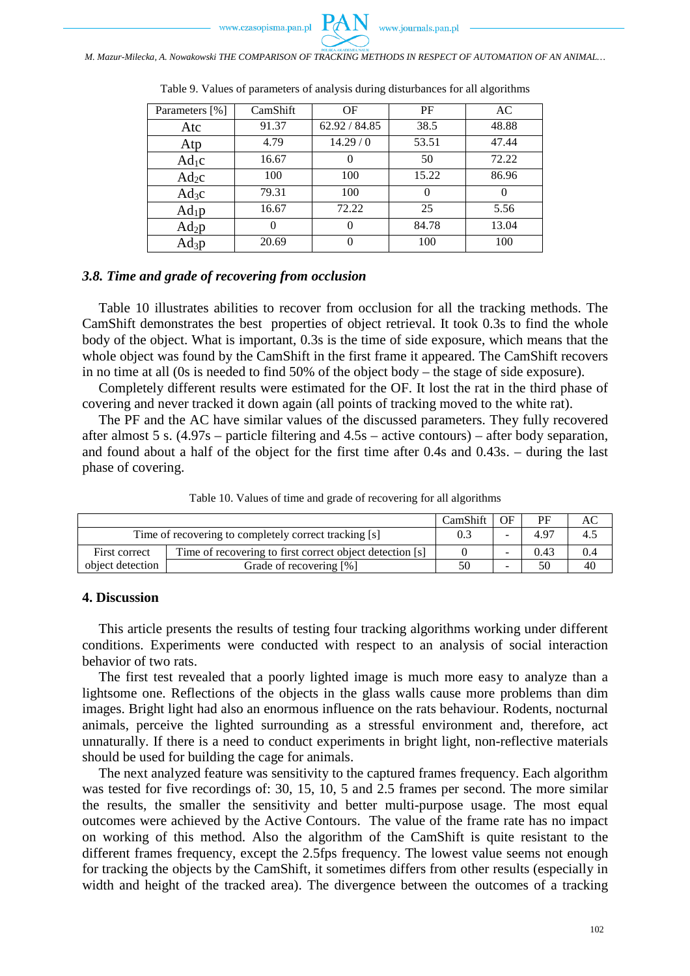*M. Mazur-Milecka, A. Nowakowski THE COMPARISON OF TRACKING METHODS IN RESPECT OF AUTOMATION OF AN ANIMAL…*

| Parameters [%] | CamShift | OF            | PF       | AC    |
|----------------|----------|---------------|----------|-------|
| Atc            | 91.37    | 62.92 / 84.85 | 38.5     | 48.88 |
| Atp            | 4.79     | 14.29/0       | 53.51    | 47.44 |
| $Ad_1c$        | 16.67    | $\theta$      | 50       | 72.22 |
| $Ad_2c$        | 100      | 100           | 15.22    | 86.96 |
| $Ad_3c$        | 79.31    | 100           | $\theta$ |       |
| $Ad_1p$        | 16.67    | 72.22         | 25       | 5.56  |
| $Ad_2p$        | 0        | $\Omega$      | 84.78    | 13.04 |
| $Ad_3p$        | 20.69    | 0             | 100      | 100   |

Table 9. Values of parameters of analysis during disturbances for all algorithms

#### *3.8. Time and grade of recovering from occlusion*

Table 10 illustrates abilities to recover from occlusion for all the tracking methods. The CamShift demonstrates the best properties of object retrieval. It took 0.3s to find the whole body of the object. What is important, 0.3s is the time of side exposure, which means that the whole object was found by the CamShift in the first frame it appeared. The CamShift recovers in no time at all (0s is needed to find 50% of the object body – the stage of side exposure).

Completely different results were estimated for the OF. It lost the rat in the third phase of covering and never tracked it down again (all points of tracking moved to the white rat).

The PF and the AC have similar values of the discussed parameters. They fully recovered after almost 5 s. (4.97s – particle filtering and 4.5s – active contours) – after body separation, and found about a half of the object for the first time after 0.4s and 0.43s. – during the last phase of covering.

|                  |                                                          | CamShift | OF | PF   | AС  |
|------------------|----------------------------------------------------------|----------|----|------|-----|
|                  | Time of recovering to completely correct tracking [s]    | 0.3      |    | 4.97 | 4.5 |
| First correct    | Time of recovering to first correct object detection [s] |          |    | 0.43 | 0.4 |
| object detection | Grade of recovering [%]                                  | 50       |    | 50   | 40  |

Table 10. Values of time and grade of recovering for all algorithms

#### **4. Discussion**

This article presents the results of testing four tracking algorithms working under different conditions. Experiments were conducted with respect to an analysis of social interaction behavior of two rats.

The first test revealed that a poorly lighted image is much more easy to analyze than a lightsome one. Reflections of the objects in the glass walls cause more problems than dim images. Bright light had also an enormous influence on the rats behaviour. Rodents, nocturnal animals, perceive the lighted surrounding as a stressful environment and, therefore, act unnaturally. If there is a need to conduct experiments in bright light, non-reflective materials should be used for building the cage for animals.

The next analyzed feature was sensitivity to the captured frames frequency. Each algorithm was tested for five recordings of: 30, 15, 10, 5 and 2.5 frames per second. The more similar the results, the smaller the sensitivity and better multi-purpose usage. The most equal outcomes were achieved by the Active Contours. The value of the frame rate has no impact on working of this method. Also the algorithm of the CamShift is quite resistant to the different frames frequency, except the 2.5fps frequency. The lowest value seems not enough for tracking the objects by the CamShift, it sometimes differs from other results (especially in width and height of the tracked area). The divergence between the outcomes of a tracking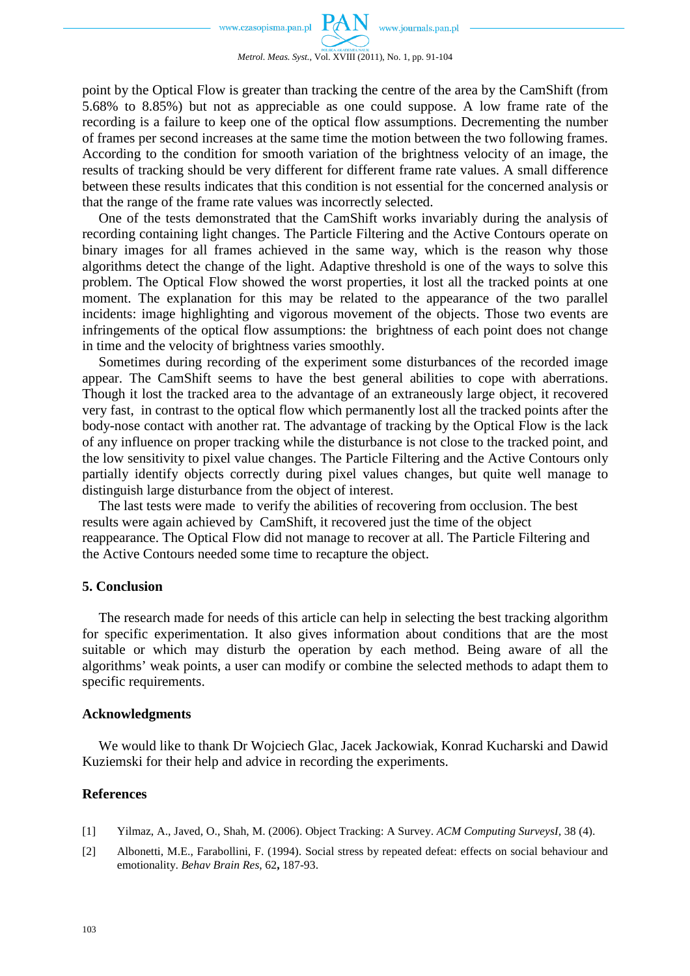point by the Optical Flow is greater than tracking the centre of the area by the CamShift (from 5.68% to 8.85%) but not as appreciable as one could suppose. A low frame rate of the recording is a failure to keep one of the optical flow assumptions. Decrementing the number of frames per second increases at the same time the motion between the two following frames. According to the condition for smooth variation of the brightness velocity of an image, the results of tracking should be very different for different frame rate values. A small difference between these results indicates that this condition is not essential for the concerned analysis or that the range of the frame rate values was incorrectly selected.

One of the tests demonstrated that the CamShift works invariably during the analysis of recording containing light changes. The Particle Filtering and the Active Contours operate on binary images for all frames achieved in the same way, which is the reason why those algorithms detect the change of the light. Adaptive threshold is one of the ways to solve this problem. The Optical Flow showed the worst properties, it lost all the tracked points at one moment. The explanation for this may be related to the appearance of the two parallel incidents: image highlighting and vigorous movement of the objects. Those two events are infringements of the optical flow assumptions: the brightness of each point does not change in time and the velocity of brightness varies smoothly.

Sometimes during recording of the experiment some disturbances of the recorded image appear. The CamShift seems to have the best general abilities to cope with aberrations. Though it lost the tracked area to the advantage of an extraneously large object, it recovered very fast, in contrast to the optical flow which permanently lost all the tracked points after the body-nose contact with another rat. The advantage of tracking by the Optical Flow is the lack of any influence on proper tracking while the disturbance is not close to the tracked point, and the low sensitivity to pixel value changes. The Particle Filtering and the Active Contours only partially identify objects correctly during pixel values changes, but quite well manage to distinguish large disturbance from the object of interest.

The last tests were made to verify the abilities of recovering from occlusion. The best results were again achieved by CamShift, it recovered just the time of the object reappearance. The Optical Flow did not manage to recover at all. The Particle Filtering and the Active Contours needed some time to recapture the object.

### **5. Conclusion**

The research made for needs of this article can help in selecting the best tracking algorithm for specific experimentation. It also gives information about conditions that are the most suitable or which may disturb the operation by each method. Being aware of all the algorithms' weak points, a user can modify or combine the selected methods to adapt them to specific requirements.

#### **Acknowledgments**

We would like to thank Dr Wojciech Glac, Jacek Jackowiak, Konrad Kucharski and Dawid Kuziemski for their help and advice in recording the experiments.

#### **References**

- [1] Yilmaz, A., Javed, O., Shah, M. (2006). Object Tracking: A Survey. *ACM Computing SurveysI,* 38 (4).
- [2] Albonetti, M.E., Farabollini, F. (1994). Social stress by repeated defeat: effects on social behaviour and emotionality. *Behav Brain Res*, 62**,** 187-93.